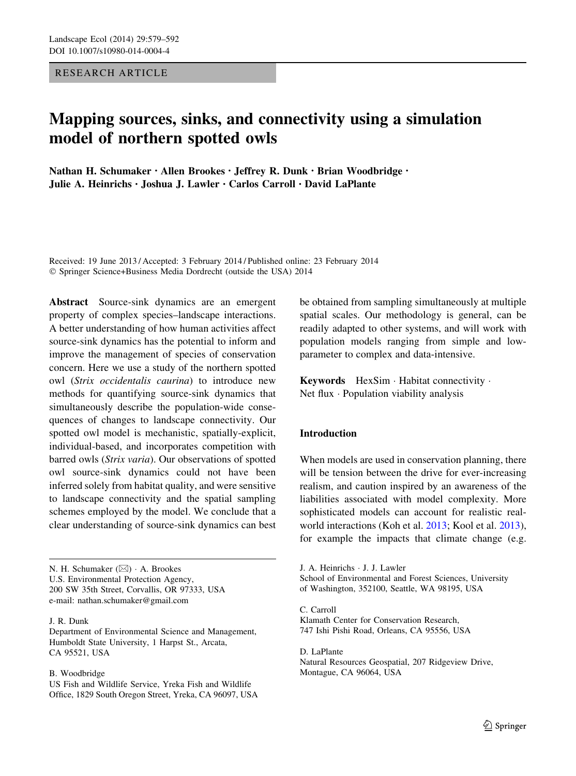RESEARCH ARTICLE

# Mapping sources, sinks, and connectivity using a simulation model of northern spotted owls

Nathan H. Schumaker • Allen Brookes • Jeffrey R. Dunk • Brian Woodbridge • Julie A. Heinrichs • Joshua J. Lawler • Carlos Carroll • David LaPlante

Received: 19 June 2013 / Accepted: 3 February 2014 / Published online: 23 February 2014 - Springer Science+Business Media Dordrecht (outside the USA) 2014

Abstract Source-sink dynamics are an emergent property of complex species–landscape interactions. A better understanding of how human activities affect source-sink dynamics has the potential to inform and improve the management of species of conservation concern. Here we use a study of the northern spotted owl (Strix occidentalis caurina) to introduce new methods for quantifying source-sink dynamics that simultaneously describe the population-wide consequences of changes to landscape connectivity. Our spotted owl model is mechanistic, spatially-explicit, individual-based, and incorporates competition with barred owls (Strix varia). Our observations of spotted owl source-sink dynamics could not have been inferred solely from habitat quality, and were sensitive to landscape connectivity and the spatial sampling schemes employed by the model. We conclude that a clear understanding of source-sink dynamics can best

N. H. Schumaker  $(\boxtimes) \cdot$  A. Brookes U.S. Environmental Protection Agency, 200 SW 35th Street, Corvallis, OR 97333, USA e-mail: nathan.schumaker@gmail.com

#### J. R. Dunk

Department of Environmental Science and Management, Humboldt State University, 1 Harpst St., Arcata, CA 95521, USA

B. Woodbridge

US Fish and Wildlife Service, Yreka Fish and Wildlife Office, 1829 South Oregon Street, Yreka, CA 96097, USA be obtained from sampling simultaneously at multiple spatial scales. Our methodology is general, can be readily adapted to other systems, and will work with population models ranging from simple and lowparameter to complex and data-intensive.

Keywords HexSim - Habitat connectivity - Net flux - Population viability analysis

# Introduction

When models are used in conservation planning, there will be tension between the drive for ever-increasing realism, and caution inspired by an awareness of the liabilities associated with model complexity. More sophisticated models can account for realistic realworld interactions (Koh et al. [2013;](#page-12-0) Kool et al. [2013](#page-12-0)), for example the impacts that climate change (e.g.

D. LaPlante Natural Resources Geospatial, 207 Ridgeview Drive, Montague, CA 96064, USA

J. A. Heinrichs - J. J. Lawler

School of Environmental and Forest Sciences, University of Washington, 352100, Seattle, WA 98195, USA

C. Carroll Klamath Center for Conservation Research, 747 Ishi Pishi Road, Orleans, CA 95556, USA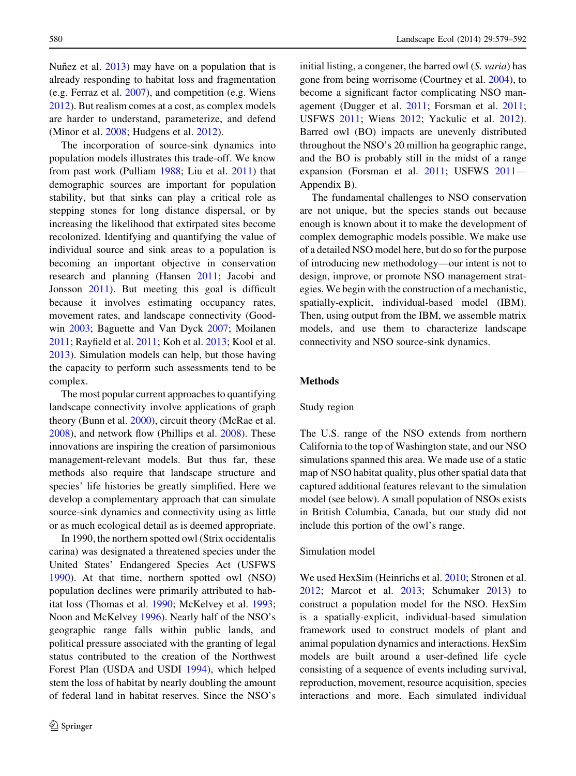Nuñez et al. [2013](#page-12-0)) may have on a population that is already responding to habitat loss and fragmentation (e.g. Ferraz et al. [2007\)](#page-12-0), and competition (e.g. Wiens [2012\)](#page-13-0). But realism comes at a cost, as complex models are harder to understand, parameterize, and defend (Minor et al. [2008](#page-12-0); Hudgens et al. [2012\)](#page-12-0).

The incorporation of source-sink dynamics into population models illustrates this trade-off. We know from past work (Pulliam [1988;](#page-12-0) Liu et al. [2011](#page-12-0)) that demographic sources are important for population stability, but that sinks can play a critical role as stepping stones for long distance dispersal, or by increasing the likelihood that extirpated sites become recolonized. Identifying and quantifying the value of individual source and sink areas to a population is becoming an important objective in conservation research and planning (Hansen [2011](#page-12-0); Jacobi and Jonsson [2011](#page-12-0)). But meeting this goal is difficult because it involves estimating occupancy rates, movement rates, and landscape connectivity (Goodwin [2003;](#page-12-0) Baguette and Van Dyck [2007](#page-11-0); Moilanen [2011;](#page-12-0) Rayfield et al. [2011](#page-12-0); Koh et al. [2013;](#page-12-0) Kool et al. [2013\)](#page-12-0). Simulation models can help, but those having the capacity to perform such assessments tend to be complex.

The most popular current approaches to quantifying landscape connectivity involve applications of graph theory (Bunn et al. [2000\)](#page-11-0), circuit theory (McRae et al. [2008\)](#page-12-0), and network flow (Phillips et al. [2008](#page-12-0)). These innovations are inspiring the creation of parsimonious management-relevant models. But thus far, these methods also require that landscape structure and species' life histories be greatly simplified. Here we develop a complementary approach that can simulate source-sink dynamics and connectivity using as little or as much ecological detail as is deemed appropriate.

In 1990, the northern spotted owl (Strix occidentalis carina) was designated a threatened species under the United States' Endangered Species Act (USFWS [1990\)](#page-13-0). At that time, northern spotted owl (NSO) population declines were primarily attributed to habitat loss (Thomas et al. [1990](#page-13-0); McKelvey et al. [1993](#page-12-0); Noon and McKelvey [1996](#page-12-0)). Nearly half of the NSO's geographic range falls within public lands, and political pressure associated with the granting of legal status contributed to the creation of the Northwest Forest Plan (USDA and USDI [1994\)](#page-13-0), which helped stem the loss of habitat by nearly doubling the amount of federal land in habitat reserves. Since the NSO's initial listing, a congener, the barred owl (S. varia) has gone from being worrisome (Courtney et al. [2004](#page-12-0)), to become a significant factor complicating NSO management (Dugger et al. [2011;](#page-12-0) Forsman et al. [2011](#page-12-0); USFWS [2011;](#page-13-0) Wiens [2012](#page-13-0); Yackulic et al. [2012](#page-13-0)). Barred owl (BO) impacts are unevenly distributed throughout the NSO's 20 million ha geographic range, and the BO is probably still in the midst of a range expansion (Forsman et al. [2011](#page-12-0); USFWS [2011](#page-13-0)— Appendix B).

The fundamental challenges to NSO conservation are not unique, but the species stands out because enough is known about it to make the development of complex demographic models possible. We make use of a detailed NSO model here, but do so for the purpose of introducing new methodology—our intent is not to design, improve, or promote NSO management strategies. We begin with the construction of a mechanistic, spatially-explicit, individual-based model (IBM). Then, using output from the IBM, we assemble matrix models, and use them to characterize landscape connectivity and NSO source-sink dynamics.

# Methods

#### Study region

The U.S. range of the NSO extends from northern California to the top of Washington state, and our NSO simulations spanned this area. We made use of a static map of NSO habitat quality, plus other spatial data that captured additional features relevant to the simulation model (see below). A small population of NSOs exists in British Columbia, Canada, but our study did not include this portion of the owl's range.

#### Simulation model

We used HexSim (Heinrichs et al. [2010;](#page-12-0) Stronen et al. [2012;](#page-12-0) Marcot et al. [2013;](#page-12-0) Schumaker [2013](#page-12-0)) to construct a population model for the NSO. HexSim is a spatially-explicit, individual-based simulation framework used to construct models of plant and animal population dynamics and interactions. HexSim models are built around a user-defined life cycle consisting of a sequence of events including survival, reproduction, movement, resource acquisition, species interactions and more. Each simulated individual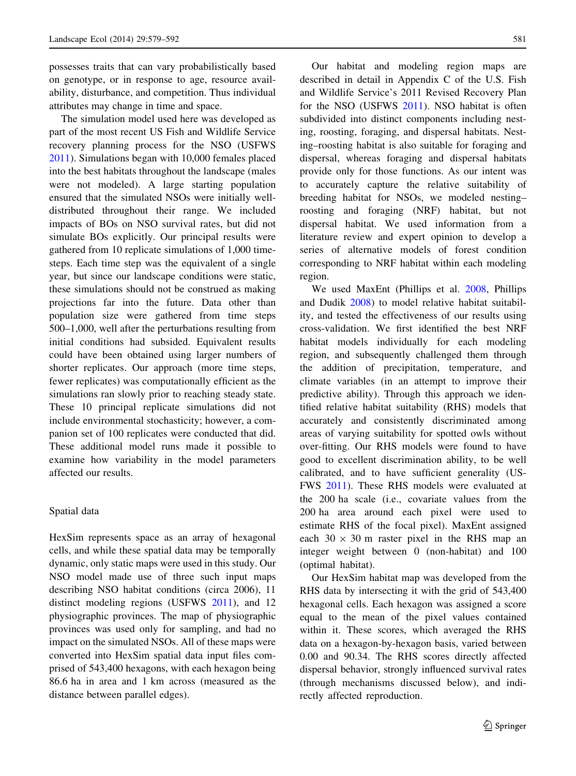possesses traits that can vary probabilistically based on genotype, or in response to age, resource availability, disturbance, and competition. Thus individual attributes may change in time and space.

The simulation model used here was developed as part of the most recent US Fish and Wildlife Service recovery planning process for the NSO (USFWS [2011\)](#page-13-0). Simulations began with 10,000 females placed into the best habitats throughout the landscape (males were not modeled). A large starting population ensured that the simulated NSOs were initially welldistributed throughout their range. We included impacts of BOs on NSO survival rates, but did not simulate BOs explicitly. Our principal results were gathered from 10 replicate simulations of 1,000 timesteps. Each time step was the equivalent of a single year, but since our landscape conditions were static, these simulations should not be construed as making projections far into the future. Data other than population size were gathered from time steps 500–1,000, well after the perturbations resulting from initial conditions had subsided. Equivalent results could have been obtained using larger numbers of shorter replicates. Our approach (more time steps, fewer replicates) was computationally efficient as the simulations ran slowly prior to reaching steady state. These 10 principal replicate simulations did not include environmental stochasticity; however, a companion set of 100 replicates were conducted that did. These additional model runs made it possible to examine how variability in the model parameters affected our results.

#### Spatial data

HexSim represents space as an array of hexagonal cells, and while these spatial data may be temporally dynamic, only static maps were used in this study. Our NSO model made use of three such input maps describing NSO habitat conditions (circa 2006), 11 distinct modeling regions (USFWS [2011](#page-13-0)), and 12 physiographic provinces. The map of physiographic provinces was used only for sampling, and had no impact on the simulated NSOs. All of these maps were converted into HexSim spatial data input files comprised of 543,400 hexagons, with each hexagon being 86.6 ha in area and 1 km across (measured as the distance between parallel edges).

Our habitat and modeling region maps are described in detail in Appendix C of the U.S. Fish and Wildlife Service's 2011 Revised Recovery Plan for the NSO (USFWS [2011\)](#page-13-0). NSO habitat is often subdivided into distinct components including nesting, roosting, foraging, and dispersal habitats. Nesting–roosting habitat is also suitable for foraging and dispersal, whereas foraging and dispersal habitats provide only for those functions. As our intent was to accurately capture the relative suitability of breeding habitat for NSOs, we modeled nesting– roosting and foraging (NRF) habitat, but not dispersal habitat. We used information from a literature review and expert opinion to develop a series of alternative models of forest condition corresponding to NRF habitat within each modeling region.

We used MaxEnt (Phillips et al. [2008](#page-12-0), Phillips and Dudik [2008\)](#page-12-0) to model relative habitat suitability, and tested the effectiveness of our results using cross-validation. We first identified the best NRF habitat models individually for each modeling region, and subsequently challenged them through the addition of precipitation, temperature, and climate variables (in an attempt to improve their predictive ability). Through this approach we identified relative habitat suitability (RHS) models that accurately and consistently discriminated among areas of varying suitability for spotted owls without over-fitting. Our RHS models were found to have good to excellent discrimination ability, to be well calibrated, and to have sufficient generality (US-FWS [2011\)](#page-13-0). These RHS models were evaluated at the 200 ha scale (i.e., covariate values from the 200 ha area around each pixel were used to estimate RHS of the focal pixel). MaxEnt assigned each  $30 \times 30$  m raster pixel in the RHS map an integer weight between 0 (non-habitat) and 100 (optimal habitat).

Our HexSim habitat map was developed from the RHS data by intersecting it with the grid of 543,400 hexagonal cells. Each hexagon was assigned a score equal to the mean of the pixel values contained within it. These scores, which averaged the RHS data on a hexagon-by-hexagon basis, varied between 0.00 and 90.34. The RHS scores directly affected dispersal behavior, strongly influenced survival rates (through mechanisms discussed below), and indirectly affected reproduction.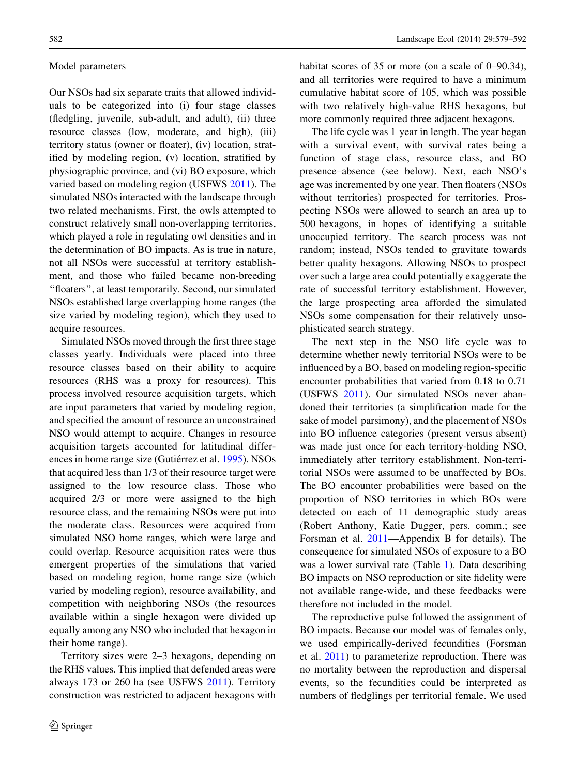#### Model parameters

Our NSOs had six separate traits that allowed individuals to be categorized into (i) four stage classes (fledgling, juvenile, sub-adult, and adult), (ii) three resource classes (low, moderate, and high), (iii) territory status (owner or floater), (iv) location, stratified by modeling region, (v) location, stratified by physiographic province, and (vi) BO exposure, which varied based on modeling region (USFWS [2011](#page-13-0)). The simulated NSOs interacted with the landscape through two related mechanisms. First, the owls attempted to construct relatively small non-overlapping territories, which played a role in regulating owl densities and in the determination of BO impacts. As is true in nature, not all NSOs were successful at territory establishment, and those who failed became non-breeding ''floaters'', at least temporarily. Second, our simulated NSOs established large overlapping home ranges (the size varied by modeling region), which they used to acquire resources.

Simulated NSOs moved through the first three stage classes yearly. Individuals were placed into three resource classes based on their ability to acquire resources (RHS was a proxy for resources). This process involved resource acquisition targets, which are input parameters that varied by modeling region, and specified the amount of resource an unconstrained NSO would attempt to acquire. Changes in resource acquisition targets accounted for latitudinal differ-ences in home range size (Gutiérrez et al. [1995\)](#page-12-0). NSOs that acquired less than 1/3 of their resource target were assigned to the low resource class. Those who acquired 2/3 or more were assigned to the high resource class, and the remaining NSOs were put into the moderate class. Resources were acquired from simulated NSO home ranges, which were large and could overlap. Resource acquisition rates were thus emergent properties of the simulations that varied based on modeling region, home range size (which varied by modeling region), resource availability, and competition with neighboring NSOs (the resources available within a single hexagon were divided up equally among any NSO who included that hexagon in their home range).

Territory sizes were 2–3 hexagons, depending on the RHS values. This implied that defended areas were always 173 or 260 ha (see USFWS [2011\)](#page-13-0). Territory construction was restricted to adjacent hexagons with habitat scores of 35 or more (on a scale of 0–90.34), and all territories were required to have a minimum cumulative habitat score of 105, which was possible with two relatively high-value RHS hexagons, but more commonly required three adjacent hexagons.

The life cycle was 1 year in length. The year began with a survival event, with survival rates being a function of stage class, resource class, and BO presence–absence (see below). Next, each NSO's age was incremented by one year. Then floaters (NSOs without territories) prospected for territories. Prospecting NSOs were allowed to search an area up to 500 hexagons, in hopes of identifying a suitable unoccupied territory. The search process was not random; instead, NSOs tended to gravitate towards better quality hexagons. Allowing NSOs to prospect over such a large area could potentially exaggerate the rate of successful territory establishment. However, the large prospecting area afforded the simulated NSOs some compensation for their relatively unsophisticated search strategy.

The next step in the NSO life cycle was to determine whether newly territorial NSOs were to be influenced by a BO, based on modeling region-specific encounter probabilities that varied from 0.18 to 0.71 (USFWS [2011](#page-13-0)). Our simulated NSOs never abandoned their territories (a simplification made for the sake of model parsimony), and the placement of NSOs into BO influence categories (present versus absent) was made just once for each territory-holding NSO, immediately after territory establishment. Non-territorial NSOs were assumed to be unaffected by BOs. The BO encounter probabilities were based on the proportion of NSO territories in which BOs were detected on each of 11 demographic study areas (Robert Anthony, Katie Dugger, pers. comm.; see Forsman et al. [2011—](#page-12-0)Appendix B for details). The consequence for simulated NSOs of exposure to a BO was a lower survival rate (Table [1\)](#page-4-0). Data describing BO impacts on NSO reproduction or site fidelity were not available range-wide, and these feedbacks were therefore not included in the model.

The reproductive pulse followed the assignment of BO impacts. Because our model was of females only, we used empirically-derived fecundities (Forsman et al. [2011](#page-12-0)) to parameterize reproduction. There was no mortality between the reproduction and dispersal events, so the fecundities could be interpreted as numbers of fledglings per territorial female. We used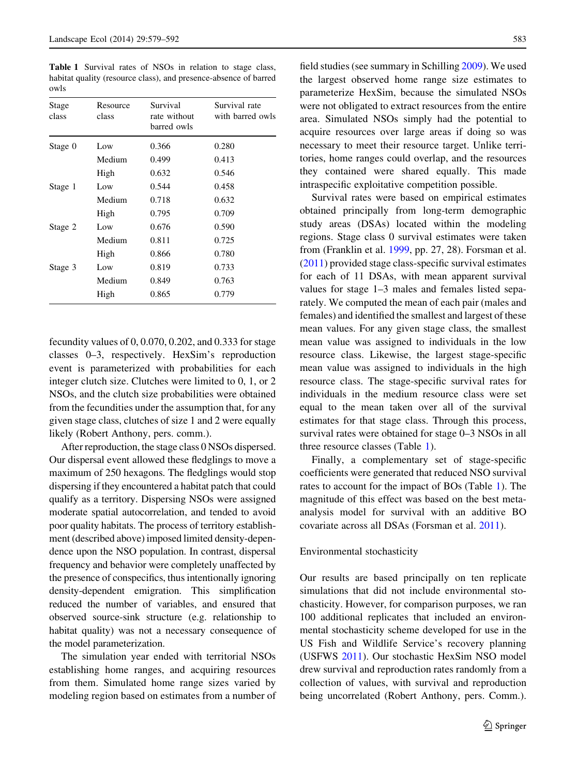<span id="page-4-0"></span>Table 1 Survival rates of NSOs in relation to stage class, habitat quality (resource class), and presence-absence of barred owls

| Stage<br>class | Resource<br>class | Survival<br>rate without<br>barred owls | Survival rate<br>with barred owls |
|----------------|-------------------|-----------------------------------------|-----------------------------------|
| Stage 0        | Low               | 0.366                                   | 0.280                             |
|                | Medium            | 0.499                                   | 0.413                             |
|                | High              | 0.632                                   | 0.546                             |
| Stage 1        | Low               | 0.544                                   | 0.458                             |
|                | Medium            | 0.718                                   | 0.632                             |
|                | High              | 0.795                                   | 0.709                             |
| Stage 2        | Low               | 0.676                                   | 0.590                             |
|                | Medium            | 0.811                                   | 0.725                             |
|                | High              | 0.866                                   | 0.780                             |
| Stage 3        | Low               | 0.819                                   | 0.733                             |
|                | Medium            | 0.849                                   | 0.763                             |
|                | High              | 0.865                                   | 0.779                             |

fecundity values of 0, 0.070, 0.202, and 0.333 for stage classes 0–3, respectively. HexSim's reproduction event is parameterized with probabilities for each integer clutch size. Clutches were limited to 0, 1, or 2 NSOs, and the clutch size probabilities were obtained from the fecundities under the assumption that, for any given stage class, clutches of size 1 and 2 were equally likely (Robert Anthony, pers. comm.).

After reproduction, the stage class 0 NSOs dispersed. Our dispersal event allowed these fledglings to move a maximum of 250 hexagons. The fledglings would stop dispersing if they encountered a habitat patch that could qualify as a territory. Dispersing NSOs were assigned moderate spatial autocorrelation, and tended to avoid poor quality habitats. The process of territory establishment (described above) imposed limited density-dependence upon the NSO population. In contrast, dispersal frequency and behavior were completely unaffected by the presence of conspecifics, thus intentionally ignoring density-dependent emigration. This simplification reduced the number of variables, and ensured that observed source-sink structure (e.g. relationship to habitat quality) was not a necessary consequence of the model parameterization.

The simulation year ended with territorial NSOs establishing home ranges, and acquiring resources from them. Simulated home range sizes varied by modeling region based on estimates from a number of field studies (see summary in Schilling [2009\)](#page-12-0). We used the largest observed home range size estimates to parameterize HexSim, because the simulated NSOs were not obligated to extract resources from the entire area. Simulated NSOs simply had the potential to acquire resources over large areas if doing so was necessary to meet their resource target. Unlike territories, home ranges could overlap, and the resources they contained were shared equally. This made intraspecific exploitative competition possible.

Survival rates were based on empirical estimates obtained principally from long-term demographic study areas (DSAs) located within the modeling regions. Stage class 0 survival estimates were taken from (Franklin et al. [1999](#page-12-0), pp. 27, 28). Forsman et al. [\(2011](#page-12-0)) provided stage class-specific survival estimates for each of 11 DSAs, with mean apparent survival values for stage 1–3 males and females listed separately. We computed the mean of each pair (males and females) and identified the smallest and largest of these mean values. For any given stage class, the smallest mean value was assigned to individuals in the low resource class. Likewise, the largest stage-specific mean value was assigned to individuals in the high resource class. The stage-specific survival rates for individuals in the medium resource class were set equal to the mean taken over all of the survival estimates for that stage class. Through this process, survival rates were obtained for stage 0–3 NSOs in all three resource classes (Table 1).

Finally, a complementary set of stage-specific coefficients were generated that reduced NSO survival rates to account for the impact of BOs (Table 1). The magnitude of this effect was based on the best metaanalysis model for survival with an additive BO covariate across all DSAs (Forsman et al. [2011](#page-12-0)).

#### Environmental stochasticity

Our results are based principally on ten replicate simulations that did not include environmental stochasticity. However, for comparison purposes, we ran 100 additional replicates that included an environmental stochasticity scheme developed for use in the US Fish and Wildlife Service's recovery planning (USFWS [2011\)](#page-13-0). Our stochastic HexSim NSO model drew survival and reproduction rates randomly from a collection of values, with survival and reproduction being uncorrelated (Robert Anthony, pers. Comm.).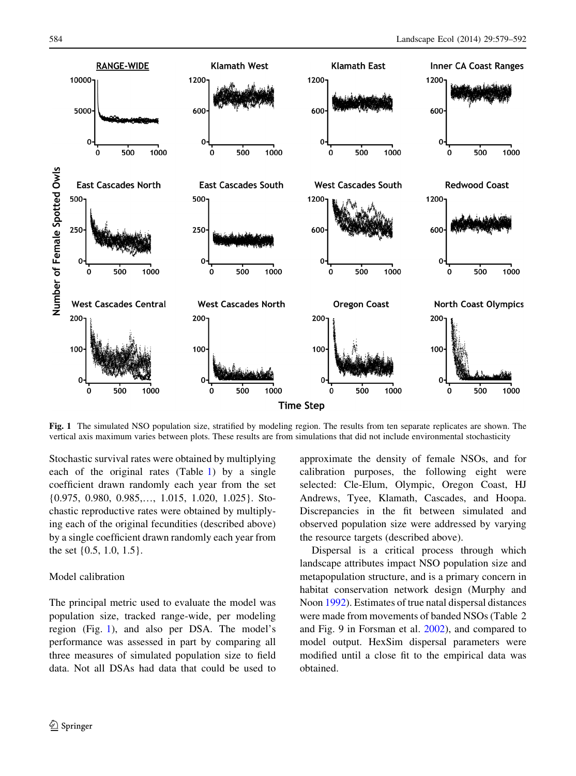<span id="page-5-0"></span>

Fig. 1 The simulated NSO population size, stratified by modeling region. The results from ten separate replicates are shown. The vertical axis maximum varies between plots. These results are from simulations that did not include environmental stochasticity

Stochastic survival rates were obtained by multiplying each of the original rates (Table [1\)](#page-4-0) by a single coefficient drawn randomly each year from the set {0.975, 0.980, 0.985,…, 1.015, 1.020, 1.025}. Stochastic reproductive rates were obtained by multiplying each of the original fecundities (described above) by a single coefficient drawn randomly each year from the set  $\{0.5, 1.0, 1.5\}$ .

# Model calibration

The principal metric used to evaluate the model was population size, tracked range-wide, per modeling region (Fig. 1), and also per DSA. The model's performance was assessed in part by comparing all three measures of simulated population size to field data. Not all DSAs had data that could be used to approximate the density of female NSOs, and for calibration purposes, the following eight were selected: Cle-Elum, Olympic, Oregon Coast, HJ Andrews, Tyee, Klamath, Cascades, and Hoopa. Discrepancies in the fit between simulated and observed population size were addressed by varying the resource targets (described above).

Dispersal is a critical process through which landscape attributes impact NSO population size and metapopulation structure, and is a primary concern in habitat conservation network design (Murphy and Noon [1992\)](#page-12-0). Estimates of true natal dispersal distances were made from movements of banded NSOs (Table 2 and Fig. 9 in Forsman et al. [2002\)](#page-12-0), and compared to model output. HexSim dispersal parameters were modified until a close fit to the empirical data was obtained.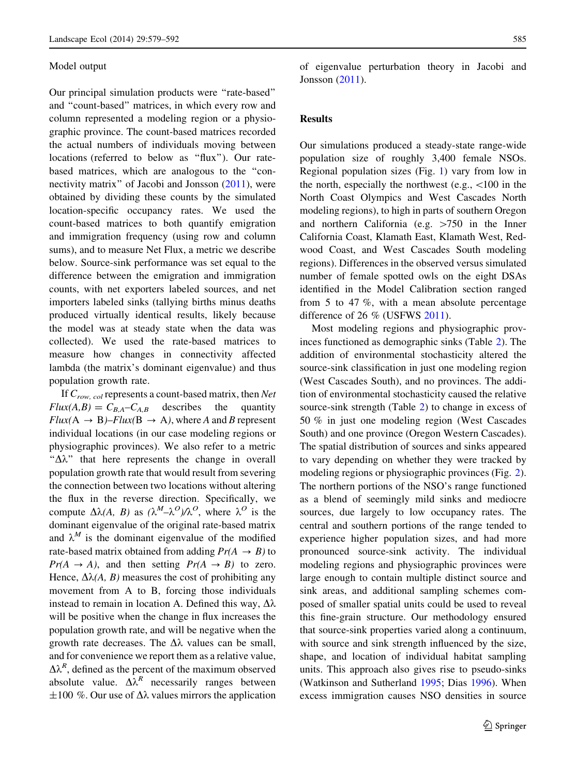#### Model output

Our principal simulation products were ''rate-based'' and ''count-based'' matrices, in which every row and column represented a modeling region or a physiographic province. The count-based matrices recorded the actual numbers of individuals moving between locations (referred to below as ''flux''). Our ratebased matrices, which are analogous to the ''connectivity matrix'' of Jacobi and Jonsson [\(2011](#page-12-0)), were obtained by dividing these counts by the simulated location-specific occupancy rates. We used the count-based matrices to both quantify emigration and immigration frequency (using row and column sums), and to measure Net Flux, a metric we describe below. Source-sink performance was set equal to the difference between the emigration and immigration counts, with net exporters labeled sources, and net importers labeled sinks (tallying births minus deaths produced virtually identical results, likely because the model was at steady state when the data was collected). We used the rate-based matrices to measure how changes in connectivity affected lambda (the matrix's dominant eigenvalue) and thus population growth rate.

If  $C_{row, col}$  represents a count-based matrix, then Net  $Flux(A, B) = C_{B, A} - C_{A, B}$  describes the quantity  $Flux(A \rightarrow B) - Flux(B \rightarrow A)$ , where A and B represent individual locations (in our case modeling regions or physiographic provinces). We also refer to a metric " $\Delta \lambda$ " that here represents the change in overall population growth rate that would result from severing the connection between two locations without altering the flux in the reverse direction. Specifically, we compute  $\Delta\lambda(A, B)$  as  $(\lambda^M - \lambda^O)\Lambda^O$ , where  $\lambda^O$  is the dominant eigenvalue of the original rate-based matrix and  $\lambda^M$  is the dominant eigenvalue of the modified rate-based matrix obtained from adding  $Pr(A \rightarrow B)$  to  $Pr(A \rightarrow A)$ , and then setting  $Pr(A \rightarrow B)$  to zero. Hence,  $\Delta\lambda(A, B)$  measures the cost of prohibiting any movement from A to B, forcing those individuals instead to remain in location A. Defined this way,  $\Delta\lambda$ will be positive when the change in flux increases the population growth rate, and will be negative when the growth rate decreases. The  $\Delta\lambda$  values can be small, and for convenience we report them as a relative value,  $\Delta\lambda^R$ , defined as the percent of the maximum observed absolute value.  $\Delta \lambda^R$  necessarily ranges between  $\pm 100$  %. Our use of  $\Delta\lambda$  values mirrors the application of eigenvalue perturbation theory in Jacobi and Jonsson ([2011](#page-12-0)).

# Results

Our simulations produced a steady-state range-wide population size of roughly 3,400 female NSOs. Regional population sizes (Fig. [1](#page-5-0)) vary from low in the north, especially the northwest (e.g.,  $\langle 100 \rangle$  in the North Coast Olympics and West Cascades North modeling regions), to high in parts of southern Oregon and northern California (e.g.  $>750$  in the Inner California Coast, Klamath East, Klamath West, Redwood Coast, and West Cascades South modeling regions). Differences in the observed versus simulated number of female spotted owls on the eight DSAs identified in the Model Calibration section ranged from 5 to 47 %, with a mean absolute percentage difference of 26 % (USFWS [2011](#page-13-0)).

Most modeling regions and physiographic provinces functioned as demographic sinks (Table [2](#page-7-0)). The addition of environmental stochasticity altered the source-sink classification in just one modeling region (West Cascades South), and no provinces. The addition of environmental stochasticity caused the relative source-sink strength (Table [2\)](#page-7-0) to change in excess of 50 % in just one modeling region (West Cascades South) and one province (Oregon Western Cascades). The spatial distribution of sources and sinks appeared to vary depending on whether they were tracked by modeling regions or physiographic provinces (Fig. [2](#page-8-0)). The northern portions of the NSO's range functioned as a blend of seemingly mild sinks and mediocre sources, due largely to low occupancy rates. The central and southern portions of the range tended to experience higher population sizes, and had more pronounced source-sink activity. The individual modeling regions and physiographic provinces were large enough to contain multiple distinct source and sink areas, and additional sampling schemes composed of smaller spatial units could be used to reveal this fine-grain structure. Our methodology ensured that source-sink properties varied along a continuum, with source and sink strength influenced by the size, shape, and location of individual habitat sampling units. This approach also gives rise to pseudo-sinks (Watkinson and Sutherland [1995](#page-13-0); Dias [1996](#page-12-0)). When excess immigration causes NSO densities in source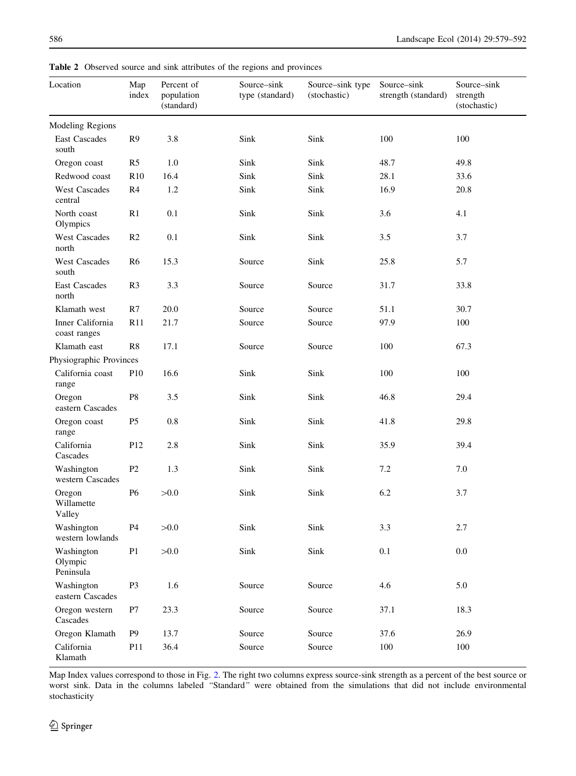| Location                           | Map<br>index    | Percent of<br>population<br>(standard) | Source-sink<br>type (standard) | Source-sink type<br>(stochastic) | Source-sink<br>strength (standard) | Source-sink<br>strength<br>(stochastic) |
|------------------------------------|-----------------|----------------------------------------|--------------------------------|----------------------------------|------------------------------------|-----------------------------------------|
| Modeling Regions                   |                 |                                        |                                |                                  |                                    |                                         |
| East Cascades<br>south             | R9              | 3.8                                    | Sink                           | Sink                             | 100                                | 100                                     |
| Oregon coast                       | R <sub>5</sub>  | 1.0                                    | Sink                           | Sink                             | 48.7                               | 49.8                                    |
| Redwood coast                      | <b>R10</b>      | 16.4                                   | Sink                           | Sink                             | 28.1                               | 33.6                                    |
| <b>West Cascades</b><br>central    | R4              | 1.2                                    | Sink                           | Sink                             | 16.9                               | 20.8                                    |
| North coast<br>Olympics            | R <sub>1</sub>  | $0.1\,$                                | Sink                           | Sink                             | 3.6                                | 4.1                                     |
| <b>West Cascades</b><br>north      | R <sub>2</sub>  | 0.1                                    | Sink                           | Sink                             | 3.5                                | 3.7                                     |
| West Cascades<br>south             | R <sub>6</sub>  | 15.3                                   | Source                         | Sink                             | 25.8                               | 5.7                                     |
| East Cascades<br>north             | R <sub>3</sub>  | 3.3                                    | Source                         | Source                           | 31.7                               | 33.8                                    |
| Klamath west                       | R7              | 20.0                                   | Source                         | Source                           | 51.1                               | 30.7                                    |
| Inner California<br>coast ranges   | R11             | 21.7                                   | Source                         | Source                           | 97.9                               | 100                                     |
| Klamath east                       | R8              | 17.1                                   | Source                         | Source                           | 100                                | 67.3                                    |
| Physiographic Provinces            |                 |                                        |                                |                                  |                                    |                                         |
| California coast<br>range          | P <sub>10</sub> | 16.6                                   | Sink                           | Sink                             | 100                                | 100                                     |
| Oregon<br>eastern Cascades         | P8              | 3.5                                    | Sink                           | Sink                             | 46.8                               | 29.4                                    |
| Oregon coast<br>range              | P <sub>5</sub>  | $0.8\,$                                | Sink                           | Sink                             | 41.8                               | 29.8                                    |
| California<br>Cascades             | P <sub>12</sub> | 2.8                                    | Sink                           | Sink                             | 35.9                               | 39.4                                    |
| Washington<br>western Cascades     | P <sub>2</sub>  | 1.3                                    | Sink                           | Sink                             | 7.2                                | 7.0                                     |
| Oregon<br>Willamette<br>Valley     | P <sub>6</sub>  | >0.0                                   | Sink                           | Sink                             | 6.2                                | 3.7                                     |
| Washington<br>western lowlands     | P <sub>4</sub>  | >0.0                                   | Sink                           | Sink                             | 3.3                                | 2.7                                     |
| Washington<br>Olympic<br>Peninsula | P <sub>1</sub>  | >0.0                                   | Sink                           | Sink                             | $0.1\,$                            | $0.0\,$                                 |
| Washington<br>eastern Cascades     | P <sub>3</sub>  | 1.6                                    | Source                         | Source                           | 4.6                                | 5.0                                     |
| Oregon western<br>Cascades         | P7              | 23.3                                   | Source                         | Source                           | 37.1                               | 18.3                                    |
| Oregon Klamath                     | $\mathbf{P}9$   | 13.7                                   | Source                         | Source                           | 37.6                               | 26.9                                    |
| California<br>Klamath              | P11             | 36.4                                   | Source                         | Source                           | 100                                | 100                                     |

<span id="page-7-0"></span>Table 2 Observed source and sink attributes of the regions and provinces

Map Index values correspond to those in Fig. [2](#page-8-0). The right two columns express source-sink strength as a percent of the best source or worst sink. Data in the columns labeled ''Standard'' were obtained from the simulations that did not include environmental stochasticity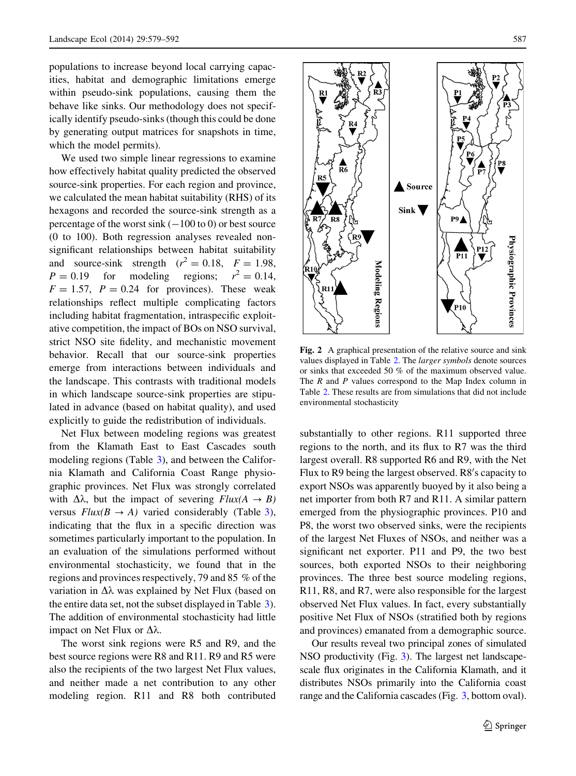<span id="page-8-0"></span>populations to increase beyond local carrying capacities, habitat and demographic limitations emerge within pseudo-sink populations, causing them the behave like sinks. Our methodology does not specifically identify pseudo-sinks (though this could be done by generating output matrices for snapshots in time, which the model permits).

We used two simple linear regressions to examine how effectively habitat quality predicted the observed source-sink properties. For each region and province, we calculated the mean habitat suitability (RHS) of its hexagons and recorded the source-sink strength as a percentage of the worst sink  $(-100 \text{ to } 0)$  or best source (0 to 100). Both regression analyses revealed nonsignificant relationships between habitat suitability and source-sink strength  $(r^2 = 0.18, F = 1.98,$  $P = 0.19$  for modeling regions;  $r^2 = 0.14$ ,  $F = 1.57$ ,  $P = 0.24$  for provinces). These weak relationships reflect multiple complicating factors including habitat fragmentation, intraspecific exploitative competition, the impact of BOs on NSO survival, strict NSO site fidelity, and mechanistic movement behavior. Recall that our source-sink properties emerge from interactions between individuals and the landscape. This contrasts with traditional models in which landscape source-sink properties are stipulated in advance (based on habitat quality), and used explicitly to guide the redistribution of individuals.

Net Flux between modeling regions was greatest from the Klamath East to East Cascades south modeling regions (Table [3\)](#page-9-0), and between the California Klamath and California Coast Range physiographic provinces. Net Flux was strongly correlated with  $\Delta\lambda$ , but the impact of severing  $Flux(A \rightarrow B)$ versus  $Flux(B \rightarrow A)$  varied considerably (Table [3](#page-9-0)), indicating that the flux in a specific direction was sometimes particularly important to the population. In an evaluation of the simulations performed without environmental stochasticity, we found that in the regions and provinces respectively, 79 and 85 % of the variation in  $\Delta\lambda$  was explained by Net Flux (based on the entire data set, not the subset displayed in Table [3](#page-9-0)). The addition of environmental stochasticity had little impact on Net Flux or  $\Delta\lambda$ .

The worst sink regions were R5 and R9, and the best source regions were R8 and R11. R9 and R5 were also the recipients of the two largest Net Flux values, and neither made a net contribution to any other modeling region. R11 and R8 both contributed



Fig. 2 A graphical presentation of the relative source and sink values displayed in Table [2](#page-7-0). The larger symbols denote sources or sinks that exceeded 50 % of the maximum observed value. The  $R$  and  $P$  values correspond to the Map Index column in Table [2](#page-7-0). These results are from simulations that did not include environmental stochasticity

substantially to other regions. R11 supported three regions to the north, and its flux to R7 was the third largest overall. R8 supported R6 and R9, with the Net Flux to R9 being the largest observed. R8's capacity to export NSOs was apparently buoyed by it also being a net importer from both R7 and R11. A similar pattern emerged from the physiographic provinces. P10 and P8, the worst two observed sinks, were the recipients of the largest Net Fluxes of NSOs, and neither was a significant net exporter. P11 and P9, the two best sources, both exported NSOs to their neighboring provinces. The three best source modeling regions, R11, R8, and R7, were also responsible for the largest observed Net Flux values. In fact, every substantially positive Net Flux of NSOs (stratified both by regions and provinces) emanated from a demographic source.

Our results reveal two principal zones of simulated NSO productivity (Fig. [3\)](#page-10-0). The largest net landscapescale flux originates in the California Klamath, and it distributes NSOs primarily into the California coast range and the California cascades (Fig. [3,](#page-10-0) bottom oval).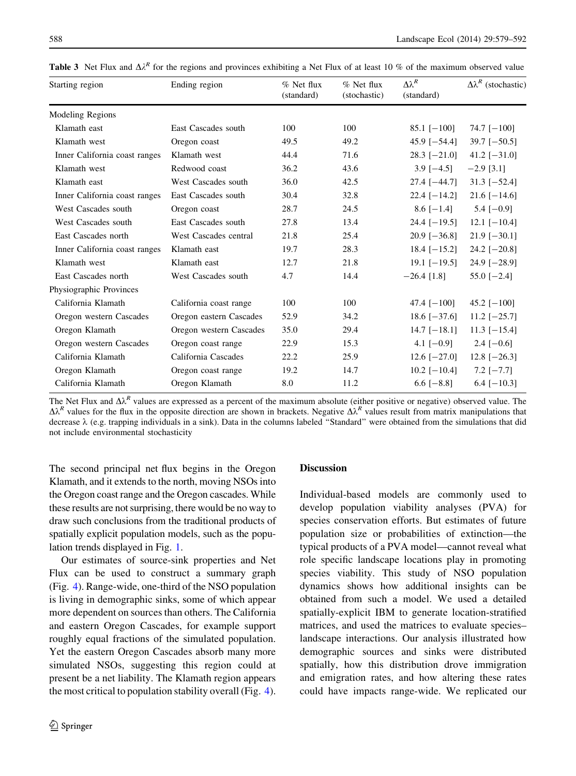| Starting region               | Ending region           | $%$ Net flux<br>(standard) | $%$ Net flux<br>(stochastic) | Δλ <sup>R</sup><br>(standard) | $\Delta \lambda^R$ (stochastic) |
|-------------------------------|-------------------------|----------------------------|------------------------------|-------------------------------|---------------------------------|
| <b>Modeling Regions</b>       |                         |                            |                              |                               |                                 |
| Klamath east                  | East Cascades south     | 100                        | 100                          | $85.1$ [-100]                 | $74.7$ [ $-100$ ]               |
| Klamath west                  | Oregon coast            | 49.5                       | 49.2                         | $45.9$ [-54.4]                | $39.7$ [-50.5]                  |
| Inner California coast ranges | Klamath west            | 44.4                       | 71.6                         | $28.3$ [-21.0]                | 41.2 $[-31.0]$                  |
| Klamath west                  | Redwood coast           | 36.2                       | 43.6                         | $3.9$ [-4.5]                  | $-2.9$ [3.1]                    |
| Klamath east                  | West Cascades south     | 36.0                       | 42.5                         | $27.4$ [-44.7]                | $31.3$ [-52.4]                  |
| Inner California coast ranges | East Cascades south     | 30.4                       | 32.8                         | $22.4$ [-14.2]                | $21.6$ [-14.6]                  |
| West Cascades south           | Oregon coast            | 28.7                       | 24.5                         | $8.6$ [-1.4]                  | $5.4[-0.9]$                     |
| West Cascades south           | East Cascades south     | 27.8                       | 13.4                         | $24.4$ [-19.5]                | $12.1$ [-10.4]                  |
| East Cascades north           | West Cascades central   | 21.8                       | 25.4                         | $20.9$ [ $-36.8$ ]            | $21.9$ [ $-30.1$ ]              |
| Inner California coast ranges | Klamath east            | 19.7                       | 28.3                         | $18.4$ [-15.2]                | $24.2$ [-20.8]                  |
| Klamath west                  | Klamath east            | 12.7                       | 21.8                         | $19.1$ [-19.5]                | $24.9$ [-28.9]                  |
| East Cascades north           | West Cascades south     | 4.7                        | 14.4                         | $-26.4$ [1.8]                 | $55.0$ [-2.4]                   |
| Physiographic Provinces       |                         |                            |                              |                               |                                 |
| California Klamath            | California coast range  | 100                        | 100                          | 47.4 $[-100]$                 | 45.2 $[-100]$                   |
| Oregon western Cascades       | Oregon eastern Cascades | 52.9                       | 34.2                         | $18.6$ [-37.6]                | $11.2$ [-25.7]                  |
| Oregon Klamath                | Oregon western Cascades | 35.0                       | 29.4                         | $14.7$ [-18.1]                | $11.3$ [-15.4]                  |
| Oregon western Cascades       | Oregon coast range      | 22.9                       | 15.3                         | 4.1 $[-0.9]$                  | $2.4$ [-0.6]                    |
| California Klamath            | California Cascades     | 22.2                       | 25.9                         | $12.6$ [ $-27.0$ ]            | $12.8$ [-26.3]                  |
| Oregon Klamath                | Oregon coast range      | 19.2                       | 14.7                         | $10.2$ [-10.4]                | $7.2$ [ $-7.7$ ]                |
| California Klamath            | Oregon Klamath          | 8.0                        | 11.2                         | $6.6[-8.8]$                   | $6.4$ [-10.3]                   |
|                               |                         |                            |                              |                               |                                 |

<span id="page-9-0"></span>**Table 3** Net Flux and  $\Delta \lambda^R$  for the regions and provinces exhibiting a Net Flux of at least 10 % of the maximum observed value

The Net Flux and  $\Delta\lambda^R$  values are expressed as a percent of the maximum absolute (either positive or negative) observed value. The  $\Delta\lambda^R$  values for the flux in the opposite direction are shown in brackets. Negative  $\Delta\lambda^R$  values result from matrix manipulations that decrease  $\lambda$  (e.g. trapping individuals in a sink). Data in the columns labeled "Standard" were obtained from the simulations that did not include environmental stochasticity

The second principal net flux begins in the Oregon Klamath, and it extends to the north, moving NSOs into the Oregon coast range and the Oregon cascades. While these results are not surprising, there would be no way to draw such conclusions from the traditional products of spatially explicit population models, such as the population trends displayed in Fig. [1](#page-5-0).

Our estimates of source-sink properties and Net Flux can be used to construct a summary graph (Fig. [4](#page-11-0)). Range-wide, one-third of the NSO population is living in demographic sinks, some of which appear more dependent on sources than others. The California and eastern Oregon Cascades, for example support roughly equal fractions of the simulated population. Yet the eastern Oregon Cascades absorb many more simulated NSOs, suggesting this region could at present be a net liability. The Klamath region appears the most critical to population stability overall (Fig. [4](#page-11-0)).

#### **Discussion**

Individual-based models are commonly used to develop population viability analyses (PVA) for species conservation efforts. But estimates of future population size or probabilities of extinction—the typical products of a PVA model—cannot reveal what role specific landscape locations play in promoting species viability. This study of NSO population dynamics shows how additional insights can be obtained from such a model. We used a detailed spatially-explicit IBM to generate location-stratified matrices, and used the matrices to evaluate species– landscape interactions. Our analysis illustrated how demographic sources and sinks were distributed spatially, how this distribution drove immigration and emigration rates, and how altering these rates could have impacts range-wide. We replicated our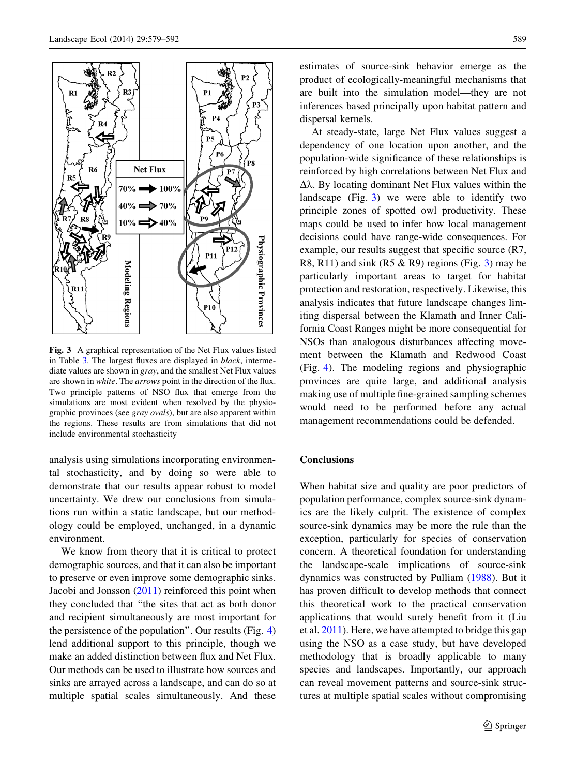<span id="page-10-0"></span>

Fig. 3 A graphical representation of the Net Flux values listed in Table [3.](#page-9-0) The largest fluxes are displayed in black, intermediate values are shown in gray, and the smallest Net Flux values are shown in white. The arrows point in the direction of the flux. Two principle patterns of NSO flux that emerge from the simulations are most evident when resolved by the physiographic provinces (see gray ovals), but are also apparent within the regions. These results are from simulations that did not include environmental stochasticity

analysis using simulations incorporating environmental stochasticity, and by doing so were able to demonstrate that our results appear robust to model uncertainty. We drew our conclusions from simulations run within a static landscape, but our methodology could be employed, unchanged, in a dynamic environment.

We know from theory that it is critical to protect demographic sources, and that it can also be important to preserve or even improve some demographic sinks. Jacobi and Jonsson ([2011\)](#page-12-0) reinforced this point when they concluded that ''the sites that act as both donor and recipient simultaneously are most important for the persistence of the population''. Our results (Fig. [4\)](#page-11-0) lend additional support to this principle, though we make an added distinction between flux and Net Flux. Our methods can be used to illustrate how sources and sinks are arrayed across a landscape, and can do so at multiple spatial scales simultaneously. And these

estimates of source-sink behavior emerge as the product of ecologically-meaningful mechanisms that are built into the simulation model—they are not inferences based principally upon habitat pattern and dispersal kernels.

At steady-state, large Net Flux values suggest a dependency of one location upon another, and the population-wide significance of these relationships is reinforced by high correlations between Net Flux and  $\Delta\lambda$ . By locating dominant Net Flux values within the landscape (Fig. 3) we were able to identify two principle zones of spotted owl productivity. These maps could be used to infer how local management decisions could have range-wide consequences. For example, our results suggest that specific source (R7, R8, R11) and sink (R5 & R9) regions (Fig. 3) may be particularly important areas to target for habitat protection and restoration, respectively. Likewise, this analysis indicates that future landscape changes limiting dispersal between the Klamath and Inner California Coast Ranges might be more consequential for NSOs than analogous disturbances affecting movement between the Klamath and Redwood Coast (Fig. [4](#page-11-0)). The modeling regions and physiographic provinces are quite large, and additional analysis making use of multiple fine-grained sampling schemes would need to be performed before any actual management recommendations could be defended.

# **Conclusions**

When habitat size and quality are poor predictors of population performance, complex source-sink dynamics are the likely culprit. The existence of complex source-sink dynamics may be more the rule than the exception, particularly for species of conservation concern. A theoretical foundation for understanding the landscape-scale implications of source-sink dynamics was constructed by Pulliam [\(1988](#page-12-0)). But it has proven difficult to develop methods that connect this theoretical work to the practical conservation applications that would surely benefit from it (Liu et al. [2011\)](#page-12-0). Here, we have attempted to bridge this gap using the NSO as a case study, but have developed methodology that is broadly applicable to many species and landscapes. Importantly, our approach can reveal movement patterns and source-sink structures at multiple spatial scales without compromising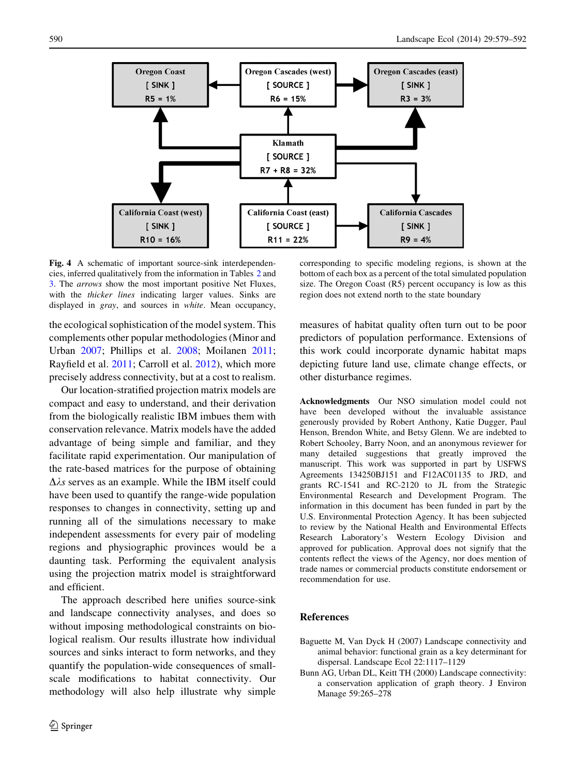<span id="page-11-0"></span>

Fig. 4 A schematic of important source-sink interdependencies, inferred qualitatively from the information in Tables [2](#page-7-0) and [3](#page-9-0). The arrows show the most important positive Net Fluxes, with the *thicker lines* indicating larger values. Sinks are displayed in gray, and sources in white. Mean occupancy,

the ecological sophistication of the model system. This complements other popular methodologies (Minor and Urban [2007;](#page-12-0) Phillips et al. [2008;](#page-12-0) Moilanen [2011](#page-12-0); Rayfield et al. [2011](#page-12-0); Carroll et al. [2012\)](#page-12-0), which more precisely address connectivity, but at a cost to realism.

Our location-stratified projection matrix models are compact and easy to understand, and their derivation from the biologically realistic IBM imbues them with conservation relevance. Matrix models have the added advantage of being simple and familiar, and they facilitate rapid experimentation. Our manipulation of the rate-based matrices for the purpose of obtaining  $\Delta\lambda s$  serves as an example. While the IBM itself could have been used to quantify the range-wide population responses to changes in connectivity, setting up and running all of the simulations necessary to make independent assessments for every pair of modeling regions and physiographic provinces would be a daunting task. Performing the equivalent analysis using the projection matrix model is straightforward and efficient.

The approach described here unifies source-sink and landscape connectivity analyses, and does so without imposing methodological constraints on biological realism. Our results illustrate how individual sources and sinks interact to form networks, and they quantify the population-wide consequences of smallscale modifications to habitat connectivity. Our methodology will also help illustrate why simple

corresponding to specific modeling regions, is shown at the bottom of each box as a percent of the total simulated population size. The Oregon Coast (R5) percent occupancy is low as this region does not extend north to the state boundary

measures of habitat quality often turn out to be poor predictors of population performance. Extensions of this work could incorporate dynamic habitat maps depicting future land use, climate change effects, or other disturbance regimes.

Acknowledgments Our NSO simulation model could not have been developed without the invaluable assistance generously provided by Robert Anthony, Katie Dugger, Paul Henson, Brendon White, and Betsy Glenn. We are indebted to Robert Schooley, Barry Noon, and an anonymous reviewer for many detailed suggestions that greatly improved the manuscript. This work was supported in part by USFWS Agreements 134250BJ151 and F12AC01135 to JRD, and grants RC-1541 and RC-2120 to JL from the Strategic Environmental Research and Development Program. The information in this document has been funded in part by the U.S. Environmental Protection Agency. It has been subjected to review by the National Health and Environmental Effects Research Laboratory's Western Ecology Division and approved for publication. Approval does not signify that the contents reflect the views of the Agency, nor does mention of trade names or commercial products constitute endorsement or recommendation for use.

### References

- Baguette M, Van Dyck H (2007) Landscape connectivity and animal behavior: functional grain as a key determinant for dispersal. Landscape Ecol 22:1117–1129
- Bunn AG, Urban DL, Keitt TH (2000) Landscape connectivity: a conservation application of graph theory. J Environ Manage 59:265–278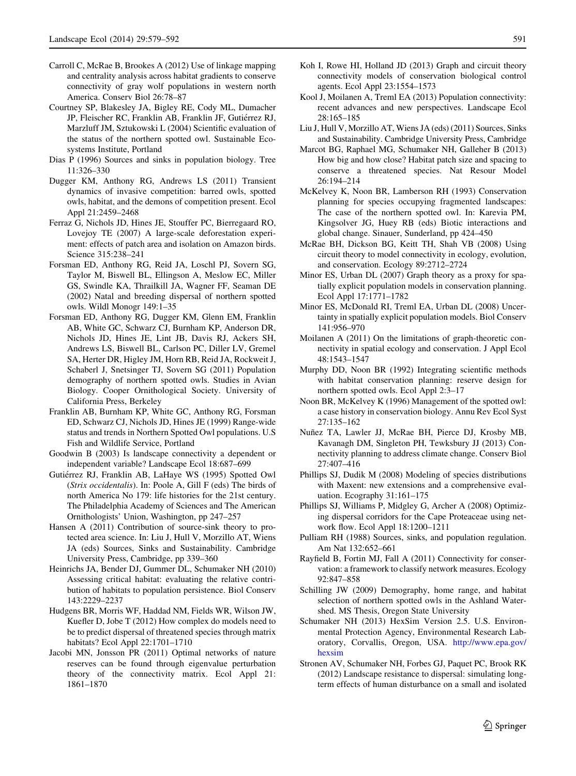- <span id="page-12-0"></span>Carroll C, McRae B, Brookes A (2012) Use of linkage mapping and centrality analysis across habitat gradients to conserve connectivity of gray wolf populations in western north America. Conserv Biol 26:78–87
- Courtney SP, Blakesley JA, Bigley RE, Cody ML, Dumacher JP, Fleischer RC, Franklin AB, Franklin JF, Gutiérrez RJ, Marzluff JM, Sztukowski L (2004) Scientific evaluation of the status of the northern spotted owl. Sustainable Ecosystems Institute, Portland
- Dias P (1996) Sources and sinks in population biology. Tree 11:326–330
- Dugger KM, Anthony RG, Andrews LS (2011) Transient dynamics of invasive competition: barred owls, spotted owls, habitat, and the demons of competition present. Ecol Appl 21:2459–2468
- Ferraz G, Nichols JD, Hines JE, Stouffer PC, Bierregaard RO, Lovejoy TE (2007) A large-scale deforestation experiment: effects of patch area and isolation on Amazon birds. Science 315:238–241
- Forsman ED, Anthony RG, Reid JA, Loschl PJ, Sovern SG, Taylor M, Biswell BL, Ellingson A, Meslow EC, Miller GS, Swindle KA, Thrailkill JA, Wagner FF, Seaman DE (2002) Natal and breeding dispersal of northern spotted owls. Wildl Monogr 149:1–35
- Forsman ED, Anthony RG, Dugger KM, Glenn EM, Franklin AB, White GC, Schwarz CJ, Burnham KP, Anderson DR, Nichols JD, Hines JE, Lint JB, Davis RJ, Ackers SH, Andrews LS, Biswell BL, Carlson PC, Diller LV, Gremel SA, Herter DR, Higley JM, Horn RB, Reid JA, Rockweit J, Schaberl J, Snetsinger TJ, Sovern SG (2011) Population demography of northern spotted owls. Studies in Avian Biology. Cooper Ornithological Society. University of California Press, Berkeley
- Franklin AB, Burnham KP, White GC, Anthony RG, Forsman ED, Schwarz CJ, Nichols JD, Hines JE (1999) Range-wide status and trends in Northern Spotted Owl populations. U.S Fish and Wildlife Service, Portland
- Goodwin B (2003) Is landscape connectivity a dependent or independent variable? Landscape Ecol 18:687–699
- Gutiérrez RJ, Franklin AB, LaHaye WS (1995) Spotted Owl (Strix occidentalis). In: Poole A, Gill F (eds) The birds of north America No 179: life histories for the 21st century. The Philadelphia Academy of Sciences and The American Ornithologists' Union, Washington, pp 247–257
- Hansen A (2011) Contribution of source-sink theory to protected area science. In: Liu J, Hull V, Morzillo AT, Wiens JA (eds) Sources, Sinks and Sustainability. Cambridge University Press, Cambridge, pp 339–360
- Heinrichs JA, Bender DJ, Gummer DL, Schumaker NH (2010) Assessing critical habitat: evaluating the relative contribution of habitats to population persistence. Biol Conserv 143:2229–2237
- Hudgens BR, Morris WF, Haddad NM, Fields WR, Wilson JW, Kuefler D, Jobe T (2012) How complex do models need to be to predict dispersal of threatened species through matrix habitats? Ecol Appl 22:1701–1710
- Jacobi MN, Jonsson PR (2011) Optimal networks of nature reserves can be found through eigenvalue perturbation theory of the connectivity matrix. Ecol Appl 21: 1861–1870
- Koh I, Rowe HI, Holland JD (2013) Graph and circuit theory connectivity models of conservation biological control agents. Ecol Appl 23:1554–1573
- Kool J, Moilanen A, Treml EA (2013) Population connectivity: recent advances and new perspectives. Landscape Ecol 28:165–185
- Liu J, Hull V, Morzillo AT, Wiens JA (eds) (2011) Sources, Sinks and Sustainability. Cambridge University Press, Cambridge
- Marcot BG, Raphael MG, Schumaker NH, Galleher B (2013) How big and how close? Habitat patch size and spacing to conserve a threatened species. Nat Resour Model 26:194–214
- McKelvey K, Noon BR, Lamberson RH (1993) Conservation planning for species occupying fragmented landscapes: The case of the northern spotted owl. In: Karevia PM, Kingsolver JG, Huey RB (eds) Biotic interactions and global change. Sinauer, Sunderland, pp 424–450
- McRae BH, Dickson BG, Keitt TH, Shah VB (2008) Using circuit theory to model connectivity in ecology, evolution, and conservation. Ecology 89:2712–2724
- Minor ES, Urban DL (2007) Graph theory as a proxy for spatially explicit population models in conservation planning. Ecol Appl 17:1771–1782
- Minor ES, McDonald RI, Treml EA, Urban DL (2008) Uncertainty in spatially explicit population models. Biol Conserv 141:956–970
- Moilanen A (2011) On the limitations of graph-theoretic connectivity in spatial ecology and conservation. J Appl Ecol 48:1543–1547
- Murphy DD, Noon BR (1992) Integrating scientific methods with habitat conservation planning: reserve design for northern spotted owls. Ecol Appl 2:3–17
- Noon BR, McKelvey K (1996) Management of the spotted owl: a case history in conservation biology. Annu Rev Ecol Syst 27:135–162
- Nuñez TA, Lawler JJ, McRae BH, Pierce DJ, Krosby MB, Kavanagh DM, Singleton PH, Tewksbury JJ (2013) Connectivity planning to address climate change. Conserv Biol 27:407–416
- Phillips SJ, Dudik M (2008) Modeling of species distributions with Maxent: new extensions and a comprehensive evaluation. Ecography 31:161–175
- Phillips SJ, Williams P, Midgley G, Archer A (2008) Optimizing dispersal corridors for the Cape Proteaceae using network flow. Ecol Appl 18:1200–1211
- Pulliam RH (1988) Sources, sinks, and population regulation. Am Nat 132:652–661
- Rayfield B, Fortin MJ, Fall A (2011) Connectivity for conservation: a framework to classify network measures. Ecology 92:847–858
- Schilling JW (2009) Demography, home range, and habitat selection of northern spotted owls in the Ashland Watershed. MS Thesis, Oregon State University
- Schumaker NH (2013) HexSim Version 2.5. U.S. Environmental Protection Agency, Environmental Research Laboratory, Corvallis, Oregon, USA. [http://www.epa.gov/](http://www.epa.gov/hexsim) [hexsim](http://www.epa.gov/hexsim)
- Stronen AV, Schumaker NH, Forbes GJ, Paquet PC, Brook RK (2012) Landscape resistance to dispersal: simulating longterm effects of human disturbance on a small and isolated